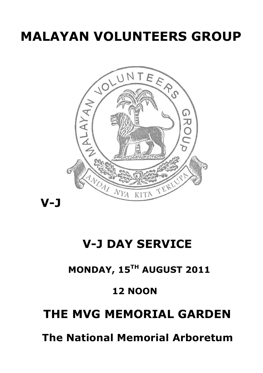# **MALAYAN VOLUNTEERS GROUP**



## **V-J DAY SERVICE**

### **MONDAY, 15TH AUGUST 2011**

### **12 NOON**

## **THE MVG MEMORIAL GARDEN**

 **The National Memorial Arboretum**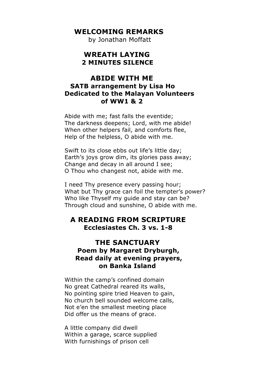#### **WELCOMING REMARKS**

by Jonathan Moffatt

#### **WREATH LAYING 2 MINUTES SILENCE**

#### **ABIDE WITH ME SATB arrangement by Lisa Ho Dedicated to the Malayan Volunteers of WW1 & 2**

Abide with me; fast falls the eventide; The darkness deepens; Lord, with me abide! When other helpers fail, and comforts flee, Help of the helpless, O abide with me.

Swift to its close ebbs out life's little day; Earth's joys grow dim, its glories pass away; Change and decay in all around I see; O Thou who changest not, abide with me.

I need Thy presence every passing hour; What but Thy grace can foil the tempter's power? Who like Thyself my guide and stay can be? Through cloud and sunshine, O abide with me.

#### **A READING FROM SCRIPTURE Ecclesiastes Ch. 3 vs. 1-8**

#### **THE SANCTUARY Poem by Margaret Dryburgh, Read daily at evening prayers, on Banka Island**

Within the camp's confined domain No great Cathedral reared its walls, No pointing spire tried Heaven to gain, No church bell sounded welcome calls, Not e'en the smallest meeting place Did offer us the means of grace.

A little company did dwell Within a garage, scarce supplied With furnishings of prison cell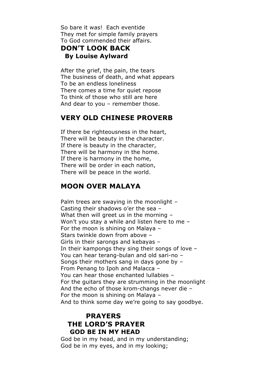So bare it was! Each eventide They met for simple family prayers To God commended their affairs.

#### **DON'T LOOK BACK By Louise Aylward**

After the grief, the pain, the tears The business of death, and what appears To be an endless loneliness There comes a time for quiet repose To think of those who still are here And dear to you – remember those.

#### **VERY OLD CHINESE PROVERB**

If there be righteousness in the heart, There will be beauty in the character. If there is beauty in the character, There will be harmony in the home. If there is harmony in the home, There will be order in each nation, There will be peace in the world.

#### **MOON OVER MALAYA**

Palm trees are swaying in the moonlight -Casting their shadows o'er the sea – What then will greet us in the morning – Won't you stay a while and listen here to me – For the moon is shining on Malaya – Stars twinkle down from above – Girls in their sarongs and kebayas – In their kampongs they sing their songs of love – You can hear terang-bulan and old sari-no – Songs their mothers sang in days gone by – From Penang to Ipoh and Malacca – You can hear those enchanted lullabies – For the guitars they are strumming in the moonlight – And the echo of those krom-changs never die – For the moon is shining on Malaya – And to think some day we're going to say goodbye.

#### **PRAYERS THE LORD'S PRAYER GOD BE IN MY HEAD**

God be in my head, and in my understanding; God be in my eyes, and in my looking;